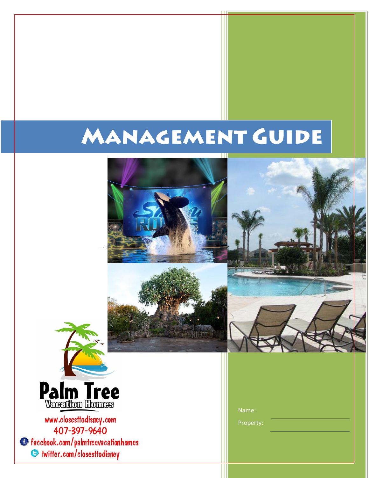# **MANAGEMENT GUIDE**







www.closesttodisney.com 407-397-9640 **C** facebook.com/palmtreevacationhomes Suitter.com/closesttodisney

| Name: |  |
|-------|--|
|-------|--|

Property: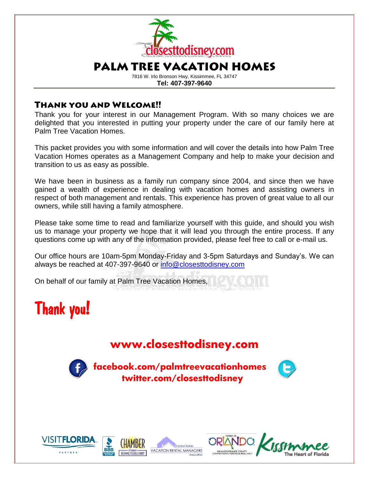

7816 W. Irlo Bronson Hwy, Kissimmee, FL 34747 **Tel: 407-397-9640**

### **THANK YOU AND WELCOME!!**

Thank you for your interest in our Management Program. With so many choices we are delighted that you interested in putting your property under the care of our family here at Palm Tree Vacation Homes.

This packet provides you with some information and will cover the details into how Palm Tree Vacation Homes operates as a Management Company and help to make your decision and transition to us as easy as possible.

We have been in business as a family run company since 2004, and since then we have gained a wealth of experience in dealing with vacation homes and assisting owners in respect of both management and rentals. This experience has proven of great value to all our owners, while still having a family atmosphere.

Please take some time to read and familiarize yourself with this guide, and should you wish us to manage your property we hope that it will lead you through the entire process. If any questions come up with any of the information provided, please feel free to call or e-mail us.

Our office hours are 10am-5pm Monday-Friday and 3-5pm Saturdays and Sunday's. We can always be reached at 407-397-9640 or [info@closesttodisney.com](mailto:info@closesttodisney.com)

On behalf of our family at Palm Tree Vacation Homes,

## Thank you!

### **[www.closesttodisney.com](http://www.closesttodisney.com/)**



 **facebook.com/palmtreevacationhomes twitter.com/closesttodisney**





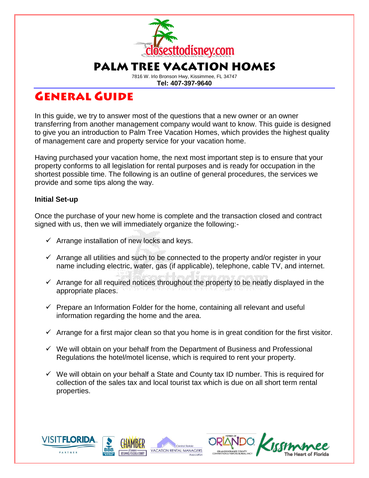

7816 W. Irlo Bronson Hwy, Kissimmee, FL 34747 **Tel: 407-397-9640**

### **GENERAL GUIDE**

In this guide, we try to answer most of the questions that a new owner or an owner transferring from another management company would want to know. This guide is designed to give you an introduction to Palm Tree Vacation Homes, which provides the highest quality of management care and property service for your vacation home.

Having purchased your vacation home, the next most important step is to ensure that your property conforms to all legislation for rental purposes and is ready for occupation in the shortest possible time. The following is an outline of general procedures, the services we provide and some tips along the way.

#### **Initial Set-up**

Once the purchase of your new home is complete and the transaction closed and contract signed with us, then we will immediately organize the following:-

- $\checkmark$  Arrange installation of new locks and keys.
- $\checkmark$  Arrange all utilities and such to be connected to the property and/or register in your name including electric, water, gas (if applicable), telephone, cable TV, and internet.
- $\checkmark$  Arrange for all required notices throughout the property to be neatly displayed in the appropriate places.
- $\checkmark$  Prepare an Information Folder for the home, containing all relevant and useful information regarding the home and the area.
- $\checkmark$  Arrange for a first major clean so that you home is in great condition for the first visitor.
- $\checkmark$  We will obtain on your behalf from the Department of Business and Professional Regulations the hotel/motel license, which is required to rent your property.
- $\checkmark$  We will obtain on your behalf a State and County tax ID number. This is required for collection of the sales tax and local tourist tax which is due on all short term rental properties.

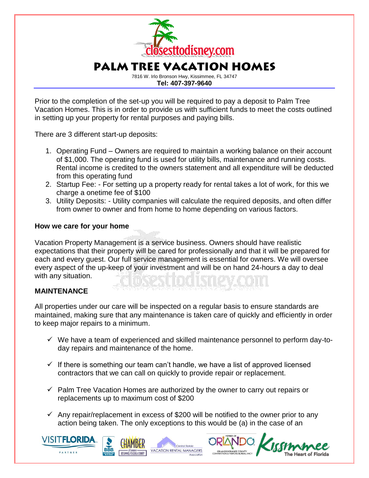

**Tel: 407-397-9640**

Prior to the completion of the set-up you will be required to pay a deposit to Palm Tree Vacation Homes. This is in order to provide us with sufficient funds to meet the costs outlined in setting up your property for rental purposes and paying bills.

There are 3 different start-up deposits:

- 1. Operating Fund Owners are required to maintain a working balance on their account of \$1,000. The operating fund is used for utility bills, maintenance and running costs. Rental income is credited to the owners statement and all expenditure will be deducted from this operating fund
- 2. Startup Fee: For setting up a property ready for rental takes a lot of work, for this we charge a onetime fee of \$100
- 3. Utility Deposits: Utility companies will calculate the required deposits, and often differ from owner to owner and from home to home depending on various factors.

#### **How we care for your home**

Vacation Property Management is a service business. Owners should have realistic expectations that their property will be cared for professionally and that it will be prepared for each and every guest. Our full service management is essential for owners. We will oversee every aspect of the up-keep of your investment and will be on hand 24-hours a day to deal with any situation.

#### **MAINTENANCE**

All properties under our care will be inspected on a regular basis to ensure standards are maintained, making sure that any maintenance is taken care of quickly and efficiently in order to keep major repairs to a minimum.

- $\checkmark$  We have a team of experienced and skilled maintenance personnel to perform day-today repairs and maintenance of the home.
- $\checkmark$  If there is something our team can't handle, we have a list of approved licensed contractors that we can call on quickly to provide repair or replacement.
- $\checkmark$  Palm Tree Vacation Homes are authorized by the owner to carry out repairs or replacements up to maximum cost of \$200
- $\checkmark$  Any repair/replacement in excess of \$200 will be notified to the owner prior to any action being taken. The only exceptions to this would be (a) in the case of an



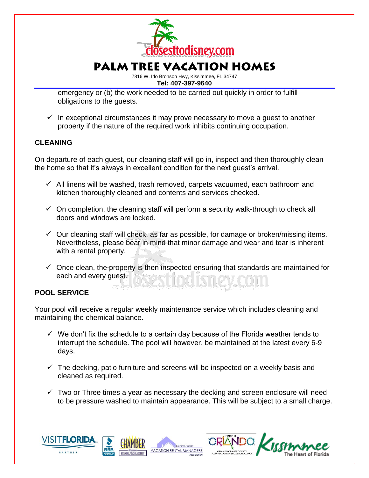

7816 W. Irlo Bronson Hwy, Kissimmee, FL 34747 **Tel: 407-397-9640**

emergency or (b) the work needed to be carried out quickly in order to fulfill obligations to the guests.

 $\checkmark$  In exceptional circumstances it may prove necessary to move a guest to another property if the nature of the required work inhibits continuing occupation.

#### **CLEANING**

On departure of each guest, our cleaning staff will go in, inspect and then thoroughly clean the home so that it's always in excellent condition for the next guest's arrival.

- $\checkmark$  All linens will be washed, trash removed, carpets vacuumed, each bathroom and kitchen thoroughly cleaned and contents and services checked.
- $\checkmark$  On completion, the cleaning staff will perform a security walk-through to check all doors and windows are locked.
- $\checkmark$  Our cleaning staff will check, as far as possible, for damage or broken/missing items. Nevertheless, please bear in mind that minor damage and wear and tear is inherent with a rental property.
- $\checkmark$  Once clean, the property is then inspected ensuring that standards are maintained for each and every guest.

#### **POOL SERVICE**

Your pool will receive a regular weekly maintenance service which includes cleaning and maintaining the chemical balance.

- $\checkmark$  We don't fix the schedule to a certain day because of the Florida weather tends to interrupt the schedule. The pool will however, be maintained at the latest every 6-9 days.
- $\checkmark$  The decking, patio furniture and screens will be inspected on a weekly basis and cleaned as required.
- $\checkmark$  Two or Three times a year as necessary the decking and screen enclosure will need to be pressure washed to maintain appearance. This will be subject to a small charge.



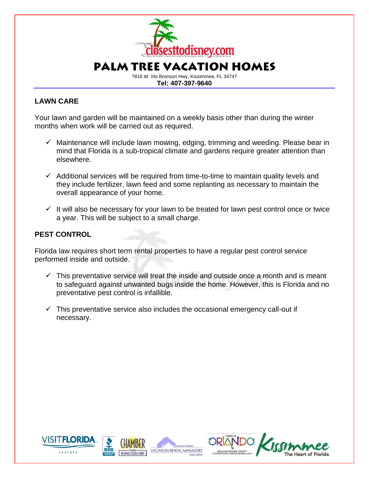

#### **LAWN CARE**

Your lawn and garden will be maintained on a weekly basis other than during the winter months when work will be carried out as required.

- $\checkmark$  Maintenance will include lawn mowing, edging, trimming and weeding. Please bear in mind that Florida is a sub-tropical climate and gardens require greater attention than elsewhere.
- $\checkmark$  Additional services will be required from time-to-time to maintain quality levels and they include fertilizer, lawn feed and some replanting as necessary to maintain the overall appearance of your home.
- $\checkmark$  It will also be necessary for your lawn to be treated for lawn pest control once or twice a year. This will be subject to a small charge.

#### **PEST CONTROL**

Florida law requires short term rental properties to have a regular pest control service performed inside and outside.

- $\checkmark$  This preventative service will treat the inside and outside once a month and is meant to safeguard against unwanted bugs inside the home. However, this is Florida and no preventative pest control is infallible.
- $\checkmark$  This preventative service also includes the occasional emergency call-out if necessary.



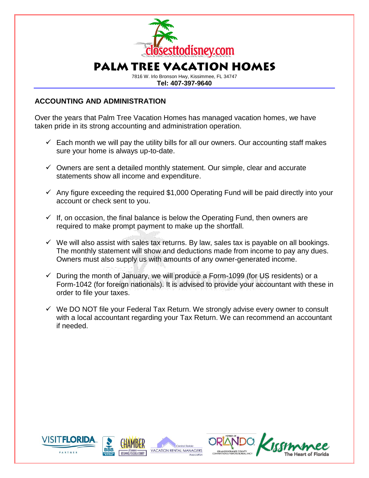

7816 W. Irlo Bronson Hwy, Kissimmee, FL 34747 **Tel: 407-397-9640**

#### **ACCOUNTING AND ADMINISTRATION**

Over the years that Palm Tree Vacation Homes has managed vacation homes, we have taken pride in its strong accounting and administration operation.

- $\checkmark$  Each month we will pay the utility bills for all our owners. Our accounting staff makes sure your home is always up-to-date.
- $\checkmark$  Owners are sent a detailed monthly statement. Our simple, clear and accurate statements show all income and expenditure.
- $\checkmark$  Any figure exceeding the required \$1,000 Operating Fund will be paid directly into your account or check sent to you.
- $\checkmark$  If, on occasion, the final balance is below the Operating Fund, then owners are required to make prompt payment to make up the shortfall.
- $\checkmark$  We will also assist with sales tax returns. By law, sales tax is payable on all bookings. The monthly statement will show and deductions made from income to pay any dues. Owners must also supply us with amounts of any owner-generated income.
- $\checkmark$  During the month of January, we will produce a Form-1099 (for US residents) or a Form-1042 (for foreign nationals). It is advised to provide your accountant with these in order to file your taxes.
- $\checkmark$  We DO NOT file your Federal Tax Return. We strongly advise every owner to consult with a local accountant regarding your Tax Return. We can recommend an accountant if needed.



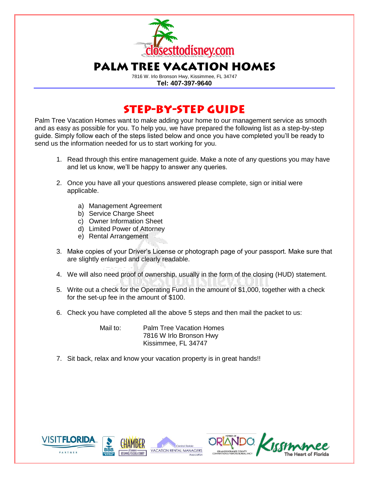

7816 W. Irlo Bronson Hwy, Kissimmee, FL 34747 **Tel: 407-397-9640**

### **STEP-BY-STEP GUIDE**

Palm Tree Vacation Homes want to make adding your home to our management service as smooth and as easy as possible for you. To help you, we have prepared the following list as a step-by-step guide. Simply follow each of the steps listed below and once you have completed you'll be ready to send us the information needed for us to start working for you.

- 1. Read through this entire management guide. Make a note of any questions you may have and let us know, we'll be happy to answer any queries.
- 2. Once you have all your questions answered please complete, sign or initial were applicable.
	- a) Management Agreement
	- b) Service Charge Sheet
	- c) Owner Information Sheet
	- d) Limited Power of Attorney
	- e) Rental Arrangement
- 3. Make copies of your Driver's License or photograph page of your passport. Make sure that are slightly enlarged and clearly readable.
- 4. We will also need proof of ownership, usually in the form of the closing (HUD) statement.
- 5. Write out a check for the Operating Fund in the amount of \$1,000, together with a check for the set-up fee in the amount of \$100.
- 6. Check you have completed all the above 5 steps and then mail the packet to us:

Mail to: Palm Tree Vacation Homes 7816 W Irlo Bronson Hwy Kissimmee, FL 34747

7. Sit back, relax and know your vacation property is in great hands!!



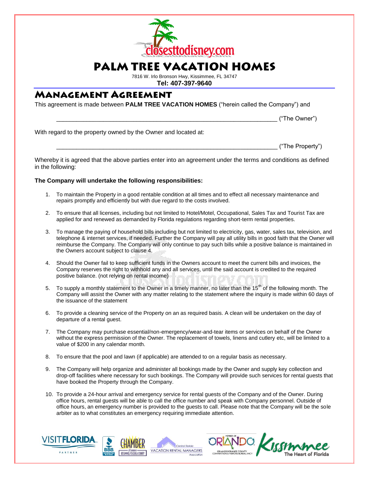

7816 W. Irlo Bronson Hwy, Kissimmee, FL 34747 **Tel: 407-397-9640**

### **MANAGEMENT AGREEMENT**

This agreement is made between **PALM TREE VACATION HOMES** ("herein called the Company") and

\_\_\_\_\_\_\_\_\_\_\_\_\_\_\_\_\_\_\_\_\_\_\_\_\_\_\_\_\_\_\_\_\_\_\_\_\_\_\_\_\_\_\_\_\_\_\_\_\_\_\_\_\_\_\_\_\_\_\_\_\_\_\_\_\_\_ ("The Owner")

With regard to the property owned by the Owner and located at:

\_\_\_\_\_\_\_\_\_\_\_\_\_\_\_\_\_\_\_\_\_\_\_\_\_\_\_\_\_\_\_\_\_\_\_\_\_\_\_\_\_\_\_\_\_\_\_\_\_\_\_\_\_\_\_\_\_\_\_\_\_\_\_\_\_\_ ("The Property")

Whereby it is agreed that the above parties enter into an agreement under the terms and conditions as defined in the following:

#### **The Company will undertake the following responsibilities:**

- 1. To maintain the Property in a good rentable condition at all times and to effect all necessary maintenance and repairs promptly and efficiently but with due regard to the costs involved.
- 2. To ensure that all licenses, including but not limited to Hotel/Motel, Occupational, Sales Tax and Tourist Tax are applied for and renewed as demanded by Florida regulations regarding short-term rental properties.
- 3. To manage the paying of household bills including but not limited to electricity, gas, water, sales tax, television, and telephone & internet services, if needed. Further the Company will pay all utility bills in good faith that the Owner will reimburse the Company. The Company will only continue to pay such bills while a positive balance is maintained in the Owners account subject to clause 4.
- 4. Should the Owner fail to keep sufficient funds in the Owners account to meet the current bills and invoices, the Company reserves the right to withhold any and all services, until the said account is credited to the required positive balance. (not relying on rental income)
- 5. To supply a monthly statement to the Owner in a timely manner, no later than the  $15<sup>th</sup>$  of the following month. The Company will assist the Owner with any matter relating to the statement where the inquiry is made within 60 days of the issuance of the statement
- 6. To provide a cleaning service of the Property on an as required basis. A clean will be undertaken on the day of departure of a rental guest.
- 7. The Company may purchase essential/non-emergency/wear-and-tear items or services on behalf of the Owner without the express permission of the Owner. The replacement of towels, linens and cutlery etc, will be limited to a value of \$200 in any calendar month.
- 8. To ensure that the pool and lawn (if applicable) are attended to on a regular basis as necessary.
- 9. The Company will help organize and administer all bookings made by the Owner and supply key collection and drop-off facilities where necessary for such bookings. The Company will provide such services for rental guests that have booked the Property through the Company.
- 10. To provide a 24-hour arrival and emergency service for rental guests of the Company and of the Owner. During office hours, rental guests will be able to call the office number and speak with Company personnel. Outside of office hours, an emergency number is provided to the guests to call. Please note that the Company will be the sole arbiter as to what constitutes an emergency requiring immediate attention.



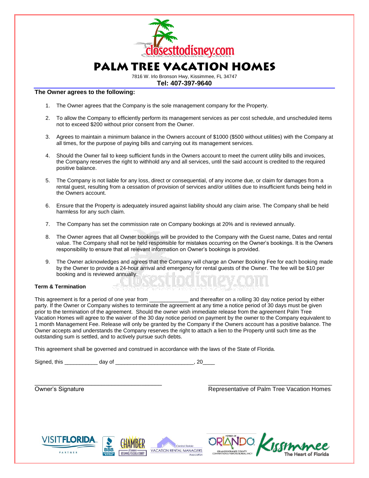

7816 W. Irlo Bronson Hwy, Kissimmee, FL 34747 **Tel: 407-397-9640**

#### **The Owner agrees to the following:**

- 1. The Owner agrees that the Company is the sole management company for the Property.
- 2. To allow the Company to efficiently perform its management services as per cost schedule, and unscheduled items not to exceed \$200 without prior consent from the Owner.
- 3. Agrees to maintain a minimum balance in the Owners account of \$1000 (\$500 without utilities) with the Company at all times, for the purpose of paying bills and carrying out its management services.
- 4. Should the Owner fail to keep sufficient funds in the Owners account to meet the current utility bills and invoices, the Company reserves the right to withhold any and all services, until the said account is credited to the required positive balance.
- 5. The Company is not liable for any loss, direct or consequential, of any income due, or claim for damages from a rental guest, resulting from a cessation of provision of services and/or utilities due to insufficient funds being held in the Owners account.
- 6. Ensure that the Property is adequately insured against liability should any claim arise. The Company shall be held harmless for any such claim.
- 7. The Company has set the commission rate on Company bookings at 20% and is reviewed annually.
- 8. The Owner agrees that all Owner bookings will be provided to the Company with the Guest name, Dates and rental value. The Company shall not be held responsible for mistakes occurring on the Owner's bookings. It is the Owners responsibility to ensure that all relevant information on Owner's bookings is provided.
- 9. The Owner acknowledges and agrees that the Company will charge an Owner Booking Fee for each booking made by the Owner to provide a 24-hour arrival and emergency for rental guests of the Owner. The fee will be \$10 per booking and is reviewed annually.

#### **Term & Termination**

This agreement is for a period of one year from \_\_\_\_\_\_\_\_\_\_\_\_\_\_\_\_\_\_\_ and thereafter on a rolling 30 day notice period by either party. If the Owner or Company wishes to terminate the agreement at any time a notice period of 30 days must be given prior to the termination of the agreement. Should the owner wish immediate release from the agreement Palm Tree Vacation Homes will agree to the waiver of the 30 day notice period on payment by the owner to the Company equivalent to 1 month Management Fee. Release will only be granted by the Company if the Owners account has a positive balance. The Owner accepts and understands the Company reserves the right to attach a lien to the Property until such time as the outstanding sum is settled, and to actively pursue such debts.

\_\_\_\_\_\_\_\_\_\_\_\_\_\_\_\_\_\_\_\_\_\_\_\_\_\_\_\_\_\_\_\_\_\_\_\_\_\_ \_\_\_\_\_\_\_\_\_\_\_\_\_\_\_\_\_\_\_\_\_\_\_\_\_\_\_\_\_\_\_\_\_\_\_\_\_

This agreement shall be governed and construed in accordance with the laws of the State of Florida.

Signed, this  $\frac{1}{2}$  day of  $\frac{1}{2}$  . 20

Owner's Signature Representative of Palm Tree Vacation Homes



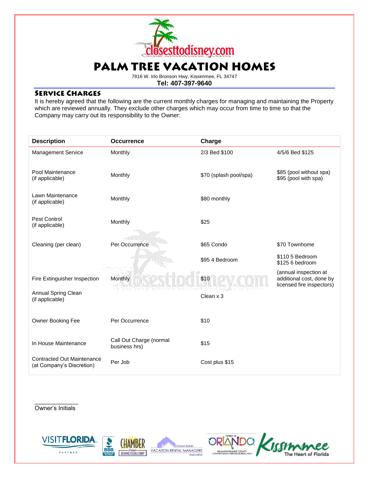

7816 W. Irlo Bronson Hwy, Kissimmee, FL 34747 **Tel: 407-397-9640**

#### **SERVICE CHARGES**

It is hereby agreed that the following are the current monthly charges for managing and maintaining the Property which are reviewed annually. They exclude other charges which may occur from time to time so that the Company may carry out its responsibility to the Owner:

| <b>Description</b>                                             | <b>Occurrence</b>                        | Charge                 |                                                                                |
|----------------------------------------------------------------|------------------------------------------|------------------------|--------------------------------------------------------------------------------|
| <b>Management Service</b>                                      | Monthly                                  | 2/3 Bed \$100          | 4/5/6 Bed \$125                                                                |
| Pool Maintenance<br>(if applicable)                            | Monthly                                  | \$70 (splash pool/spa) | \$85 (pool without spa)<br>\$95 (pool with spa)                                |
| Lawn Maintenance<br>(if applicable)                            | Monthly                                  | \$80 monthly           |                                                                                |
| Pest Control<br>(if applicable)                                | Monthly                                  | \$25                   |                                                                                |
| Cleaning (per clean)                                           | Per Occurrence                           | \$65 Condo             | \$70 Townhome                                                                  |
|                                                                |                                          | \$95 4 Bedroom         | \$110 5 Bedroom<br>\$125 6 bedroom                                             |
| Fire Extinguisher Inspection                                   | Monthly                                  | \$10                   | (annual inspection at<br>additional cost, done by<br>licensed fire inspectors) |
| Annual Spring Clean<br>(if applicable)                         |                                          | Clean x 3              |                                                                                |
| Owner Booking Fee                                              | Per Occurrence                           | \$10                   |                                                                                |
| In House Maintenance                                           | Call Out Charge (normal<br>business hrs) | \$15                   |                                                                                |
| <b>Contracted Out Maintenance</b><br>(at Company's Discretion) | Per Job                                  | Cost plus \$15         |                                                                                |

\_\_\_\_\_\_\_\_\_\_\_\_\_ Owner's Initials



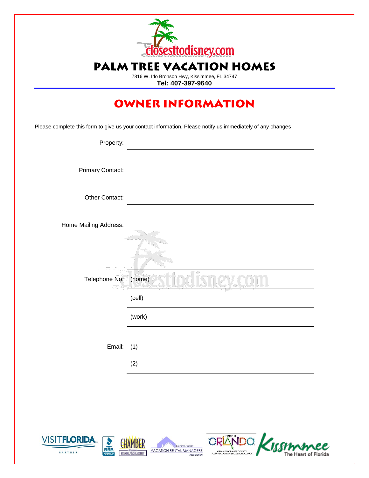

7816 W. Irlo Bronson Hwy, Kissimmee, FL 34747 **Tel: 407-397-9640**

### **OWNER INFORMATION**

Please complete this form to give us your contact information. Please notify us immediately of any changes

| Property:             |                                    |
|-----------------------|------------------------------------|
| Primary Contact:      |                                    |
| Other Contact:        |                                    |
| Home Mailing Address: |                                    |
|                       |                                    |
| Telephone No:         | $\overline{\phantom{a}}$<br>(home) |
|                       | (cell)                             |
|                       | (work)                             |
| Email:                | (1)                                |
|                       | (2)                                |

Central Florida





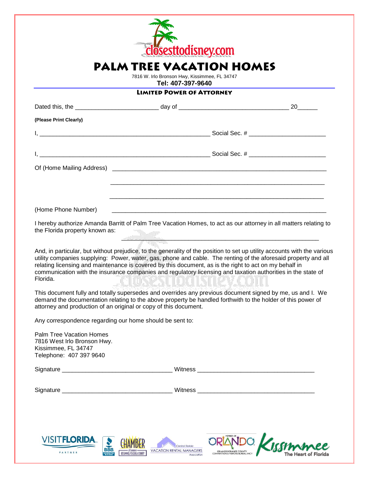

7816 W. Irlo Bronson Hwy, Kissimmee, FL 34747 **Tel: 407-397-9640**

#### **LIMITED POWER OF ATTORNEY**

|                                                                                                                  |                                                                                                                                                                                                                               | 20                                                                                                                                                                                                                                         |
|------------------------------------------------------------------------------------------------------------------|-------------------------------------------------------------------------------------------------------------------------------------------------------------------------------------------------------------------------------|--------------------------------------------------------------------------------------------------------------------------------------------------------------------------------------------------------------------------------------------|
| (Please Print Clearly)                                                                                           |                                                                                                                                                                                                                               |                                                                                                                                                                                                                                            |
|                                                                                                                  |                                                                                                                                                                                                                               |                                                                                                                                                                                                                                            |
|                                                                                                                  |                                                                                                                                                                                                                               |                                                                                                                                                                                                                                            |
|                                                                                                                  |                                                                                                                                                                                                                               |                                                                                                                                                                                                                                            |
|                                                                                                                  |                                                                                                                                                                                                                               |                                                                                                                                                                                                                                            |
| (Home Phone Number)                                                                                              |                                                                                                                                                                                                                               |                                                                                                                                                                                                                                            |
| the Florida property known as:                                                                                   | The form of the commencer and the comment of the comment of the comment of the comment of the comment of the comment of the comment of the comment of the comment of the comment of the comment of the comment of the comment | I hereby authorize Amanda Barritt of Palm Tree Vacation Homes, to act as our attorney in all matters relating to                                                                                                                           |
| Florida.                                                                                                         | relating licensing and maintenance is covered by this document, as is the right to act on my behalf in<br>communication with the insurance companies and regulatory licensing and taxation authorities in the state of        | And, in particular, but without prejudice, to the generality of the position to set up utility accounts with the various<br>utility companies supplying: Power, water, gas, phone and cable. The renting of the aforesaid property and all |
|                                                                                                                  | demand the documentation relating to the above property be handled forthwith to the holder of this power of<br>attorney and production of an original or copy of this document.                                               | This document fully and totally supersedes and overrides any previous document signed by me, us and I. We                                                                                                                                  |
| Any correspondence regarding our home should be sent to:                                                         |                                                                                                                                                                                                                               |                                                                                                                                                                                                                                            |
| <b>Palm Tree Vacation Homes</b><br>7816 West Irlo Bronson Hwy.<br>Kissimmee, FL 34747<br>Telephone: 407 397 9640 |                                                                                                                                                                                                                               |                                                                                                                                                                                                                                            |
|                                                                                                                  |                                                                                                                                                                                                                               |                                                                                                                                                                                                                                            |
|                                                                                                                  |                                                                                                                                                                                                                               |                                                                                                                                                                                                                                            |
|                                                                                                                  |                                                                                                                                                                                                                               |                                                                                                                                                                                                                                            |
| <u>VISIT<b>FLORIDA</b>.</u>                                                                                      | <b>CHAMBER</b><br>Central Florida                                                                                                                                                                                             | ORLANDO Kirommee                                                                                                                                                                                                                           |

of Connect -

**BBB** 

PARTNER

ORLANDO/ORANGE COUNTY<br>CONVENTION & VISITORS BUREAU, INC.

The Heart of Florida